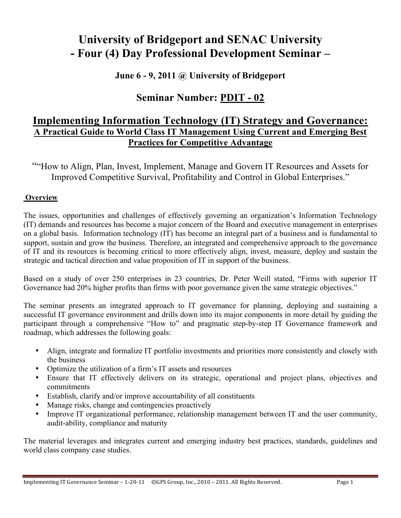# **University of Bridgeport and SENAC University - Four (4) Day Professional Development Seminar –**

## **June 6 - 9, 2011 @ University of Bridgeport**

## **Seminar Number: PDIT - 02**

## **Implementing Information Technology (IT) Strategy and Governance: A Practical Guide to World Class IT Management Using Current and Emerging Best Practices for Competitive Advantage**

""How to Align, Plan, Invest, Implement, Manage and Govern IT Resources and Assets for Improved Competitive Survival, Profitability and Control in Global Enterprises."

### **Overview**

The issues, opportunities and challenges of effectively governing an organization's Information Technology (IT) demands and resources has become a major concern of the Board and executive management in enterprises on a global basis. Information technology (IT) has become an integral part of a business and is fundamental to support, sustain and grow the business. Therefore, an integrated and comprehensive approach to the governance of IT and its resources is becoming critical to more effectively align, invest, measure, deploy and sustain the strategic and tactical direction and value proposition of IT in support of the business.

Based on a study of over 250 enterprises in 23 countries, Dr. Peter Weill stated, "Firms with superior IT Governance had 20% higher profits than firms with poor governance given the same strategic objectives."

The seminar presents an integrated approach to IT governance for planning, deploying and sustaining a successful IT governance environment and drills down into its major components in more detail by guiding the participant through a comprehensive "How to" and pragmatic step-by-step IT Governance framework and roadmap, which addresses the following goals:

- Align, integrate and formalize IT portfolio investments and priorities more consistently and closely with the business
- Optimize the utilization of a firm's IT assets and resources
- Ensure that IT effectively delivers on its strategic, operational and project plans, objectives and commitments
- Establish, clarify and/or improve accountability of all constituents
- Manage risks, change and contingencies proactively
- Improve IT organizational performance, relationship management between IT and the user community, audit-ability, compliance and maturity

The material leverages and integrates current and emerging industry best practices, standards, guidelines and world class company case studies.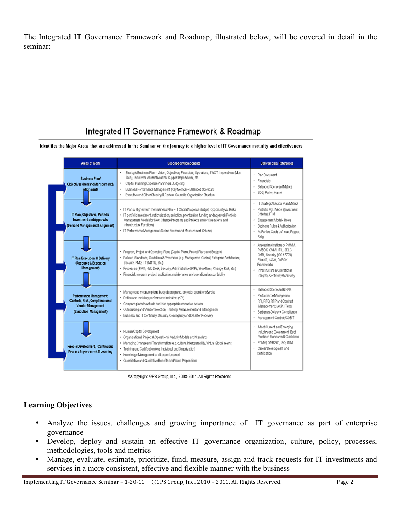The Integrated IT Governance Framework and Roadmap, illustrated below, will be covered in detail in the seminar:

## Integrated IT Governance Framework & Roadmap

Identifies the Major Areas that are addressed In the Seminar on the journey to a higher level of IT Governance maturity and effectiveness



@Copyright, GPS Group, Inc., 2008-2011. All Rights Reserved.

#### **Learning Objectives**

- Analyze the issues, challenges and growing importance of IT governance as part of enterprise governance
- Develop, deploy and sustain an effective IT governance organization, culture, policy, processes, methodologies, tools and metrics
- Manage, evaluate, estimate, prioritize, fund, measure, assign and track requests for IT investments and services in a more consistent, effective and flexible manner with the business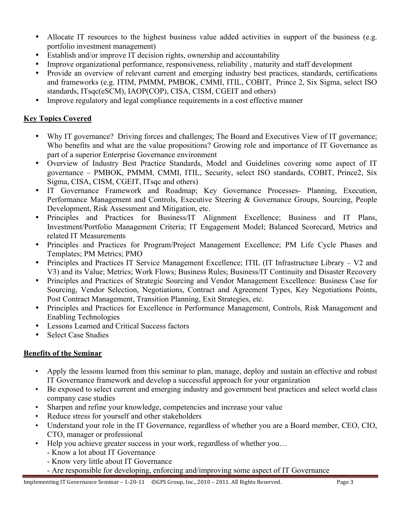- Allocate IT resources to the highest business value added activities in support of the business (e.g. portfolio investment management)
- Establish and/or improve IT decision rights, ownership and accountability
- Improve organizational performance, responsiveness, reliability , maturity and staff development
- Provide an overview of relevant current and emerging industry best practices, standards, certifications and frameworks (e.g. ITIM, PMMM, PMBOK, CMMI, ITIL, COBIT, Prince 2, Six Sigma, select ISO standards, ITsqc(eSCM), IAOP(COP), CISA, CISM, CGEIT and others)
- Improve regulatory and legal compliance requirements in a cost effective manner

## **Key Topics Covered**

- Why IT governance? Driving forces and challenges; The Board and Executives View of IT governance; Who benefits and what are the value propositions? Growing role and importance of IT Governance as part of a superior Enterprise Governance environment
- Overview of Industry Best Practice Standards, Model and Guidelines covering some aspect of IT governance – PMBOK, PMMM, CMMI, ITIL, Security, select ISO standards, COBIT, Prince2, Six Sigma, CISA, CISM, CGEIT, ITsqc and others)
- IT Governance Framework and Roadmap; Key Governance Processes- Planning, Execution, Performance Management and Controls, Executive Steering & Governance Groups, Sourcing, People Development, Risk Assessment and Mitigation, etc.
- Principles and Practices for Business/IT Alignment Excellence; Business and IT Plans, Investment/Portfolio Management Criteria; IT Engagement Model; Balanced Scorecard, Metrics and related IT Measurements
- Principles and Practices for Program/Project Management Excellence; PM Life Cycle Phases and Templates; PM Metrics; PMO
- Principles and Practices IT Service Management Excellence; ITIL (IT Infrastructure Library V2 and V3) and its Value; Metrics; Work Flows; Business Rules; Business/IT Continuity and Disaster Recovery
- Principles and Practices of Strategic Sourcing and Vendor Management Excellence: Business Case for Sourcing, Vendor Selection, Negotiations, Contract and Agreement Types, Key Negotiations Points, Post Contract Management, Transition Planning, Exit Strategies, etc.
- Principles and Practices for Excellence in Performance Management, Controls, Risk Management and Enabling Technologies
- Lessons Learned and Critical Success factors
- Select Case Studies

### **Benefits of the Seminar**

- Apply the lessons learned from this seminar to plan, manage, deploy and sustain an effective and robust IT Governance framework and develop a successful approach for your organization
- Be exposed to select current and emerging industry and government best practices and select world class company case studies
- Sharpen and refine your knowledge, competencies and increase your value
- Reduce stress for yourself and other stakeholders
- Understand your role in the IT Governance, regardless of whether you are a Board member, CEO, CIO, CTO, manager or professional
- Help you achieve greater success in your work, regardless of whether you…
	- Know a lot about IT Governance
	- Know very little about IT Governance
	- Are responsible for developing, enforcing and/improving some aspect of IT Governance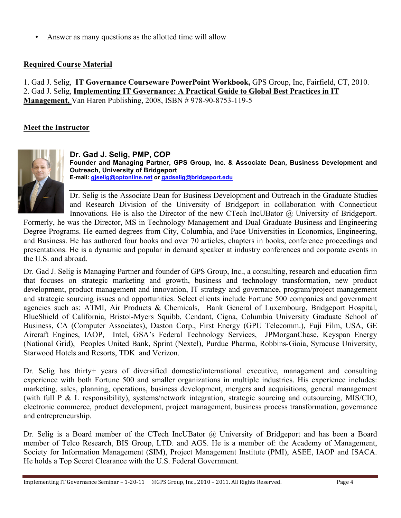Answer as many questions as the allotted time will allow

## **Required Course Material**

1. Gad J. Selig, **IT Governance Courseware PowerPoint Workbook,** GPS Group, Inc, Fairfield, CT, 2010. 2. Gad J. Selig, **Implementing IT Governance: A Practical Guide to Global Best Practices in IT Management,** Van Haren Publishing, 2008, ISBN # 978-90-8753-119-5

### **Meet the Instructor**



**Dr. Gad J. Selig, PMP, COP Founder and Managing Partner, GPS Group, Inc. & Associate Dean, Business Development and Outreach, University of Bridgeport E-mail: gjselig@optonline.net or gadselig@bridgeport.edu**

Dr. Selig is the Associate Dean for Business Development and Outreach in the Graduate Studies and Research Division of the University of Bridgeport in collaboration with Connecticut Innovations. He is also the Director of the new CTech IncUBator @ University of Bridgeport.

Formerly, he was the Director, MS in Technology Management and Dual Graduate Business and Engineering Degree Programs. He earned degrees from City, Columbia, and Pace Universities in Economics, Engineering, and Business. He has authored four books and over 70 articles, chapters in books, conference proceedings and presentations. He is a dynamic and popular in demand speaker at industry conferences and corporate events in the U.S. and abroad.

Dr. Gad J. Selig is Managing Partner and founder of GPS Group, Inc., a consulting, research and education firm that focuses on strategic marketing and growth, business and technology transformation, new product development, product management and innovation, IT strategy and governance, program/project management and strategic sourcing issues and opportunities. Select clients include Fortune 500 companies and government agencies such as: ATMI, Air Products & Chemicals, Bank General of Luxembourg, Bridgeport Hospital, BlueShield of California, Bristol-Myers Squibb, Cendant, Cigna, Columbia University Graduate School of Business, CA (Computer Associates), Daston Corp., First Energy (GPU Telecomm.), Fuji Film, USA, GE Aircraft Engines, IAOP, Intel, GSA's Federal Technology Services, JPMorganChase, Keyspan Energy (National Grid), Peoples United Bank, Sprint (Nextel), Purdue Pharma, Robbins-Gioia, Syracuse University, Starwood Hotels and Resorts, TDK and Verizon.

Dr. Selig has thirty+ years of diversified domestic/international executive, management and consulting experience with both Fortune 500 and smaller organizations in multiple industries. His experience includes: marketing, sales, planning, operations, business development, mergers and acquisitions, general management (with full P & L responsibility), systems/network integration, strategic sourcing and outsourcing, MIS/CIO, electronic commerce, product development, project management, business process transformation, governance and entrepreneurship.

Dr. Selig is a Board member of the CTech IncUBator @ University of Bridgeport and has been a Board member of Telco Research, BIS Group, LTD. and AGS. He is a member of: the Academy of Management, Society for Information Management (SIM), Project Management Institute (PMI), ASEE, IAOP and ISACA. He holds a Top Secret Clearance with the U.S. Federal Government.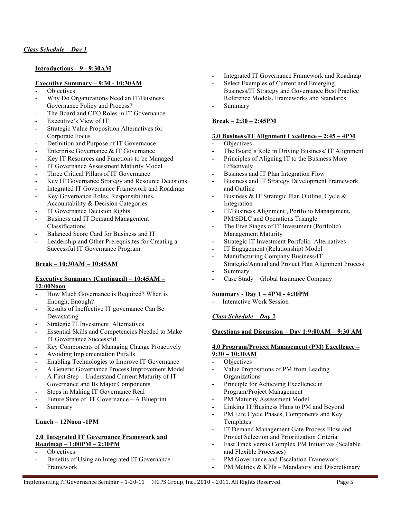#### **Introductions – 9 - 9:30AM**

#### **Executive Summary – 9:30 - 10:30AM**

- **-** Objectives
- **-** Why Do Organizations Need an IT/Business Governance Policy and Process?
- The Board and CEO Roles in IT Governance
- **-** Executive's View of IT
- **-** Strategic Value Proposition Alternatives for Corporate Focus
- **-** Definition and Purpose of IT Governance
- **-** Enterprise Governance & IT Governance
- **-** Key IT Resources and Functions to be Managed
- **-** IT Governance Assessment Maturity Model
- **-** Three Critical Pillars of IT Governance
- **-** Key IT Governance Strategy and Resource Decisions
- **-** Integrated IT Governance Framework and Roadmap
- **-** Key Governance Roles, Responsibilities, Accountability & Decision Categories
- **-** IT Governance Decision Rights
- **-** Business and IT Demand Management Classifications
- **-** Balanced Score Card for Business and IT
- **-** Leadership and Other Prerequisites for Creating a Successful IT Governance Program

#### **Break – 10;30AM – 10:45AM**

#### **Executive Summary (Continued) – 10:45AM – 12:00Noon**

- **-** How Much Governance is Required? When is Enough, Enough?
- **-** Results of Ineffective IT governance Can Be Devastating
- **-** Strategic IT Investment Alternatives
- **-** Essential Skills and Competencies Needed to Make IT Governance Successful
- **-** Key Components of Managing Change Proactively
- **-** Avoiding Implementation Pitfalls
- **-** Enabling Technologies to Improve IT Governance
- **-** A Generic Governance Process Improvement Model
- **-** A First Step Understand Current Maturity of IT Governance and Its Major Components
- **-** Steps in Making IT Governance Real
- **-** Future State of IT Governance A Blueprint
- **-** Summary

#### **Lunch – 12Noon -1PM**

#### **2.0 Integrated IT Governance Framework and Roadmap – 1:00PM – 2:30PM**

- **-** Objectives
- **-** Benefits of Using an Integrated IT Governance Framework
- **-** Integrated IT Governance Framework and Roadmap
- **-** Select Examples of Current and Emerging Business/IT Strategy and Governance Best Practice Reference Models, Frameworks and Standards
- **-** Summary

#### **Break – 2:30 – 2:45PM**

#### **3.0 Business/IT Alignment Excellence – 2:45 – 4PM**

- **-** Objectives
- **-** The Board's Role in Driving Business/ IT Alignment
- **-** Principles of Aligning IT to the Business More Effectively
- **-** Business and IT Plan Integration Flow
- **-** Business and IT Strategy Development Framework and Outline
- **-** Business & IT Strategic Plan Outline, Cycle & Integration
- **-** IT/Business Alignment , Portfolio Management, PM/SDLC and Operations Triangle
- **-** The Five Stages of IT Investment (Portfolio) Management Maturity
- **-** Strategic IT Investment Portfolio Alternatives
- **-** IT Engagement (Relationship) Model
- **-** Manufacturing Company Business/IT
- Strategic/Annual and Project Plan Alignment Process **-** Summary
- **-** Case Study Global Insurance Company

#### **Summary - Day 1 – 4PM - 4:30PM**

Interactive Work Session

### *Class Schedule – Day 2*

#### **Questions and Discussion – Day 1:9:00AM – 9:30 AM**

#### **4.0 Program/Project Management (PM) Excellence – 9:30 – 10:30AM**

- **-** Objectives
- **-** Value Propositions of PM from Leading **Organizations**
- **-** Principle for Achieving Excellence in Program/Project Management
- PM Maturity Assessment Model
- **-** Linking IT/Business Plans to PM and Beyond
- PM Life Cycle Phases, Components and Key Templates
- **-** IT Demand Management Gate Process Flow and Project Selection and Prioritization Criteria
- **-** Fast Track versus Complex PM Initiatives (Scalable and Flexible Processes)
- **-** PM Governance and Escalation Framework
- **-** PM Metrics & KPIs Mandatory and Discretionary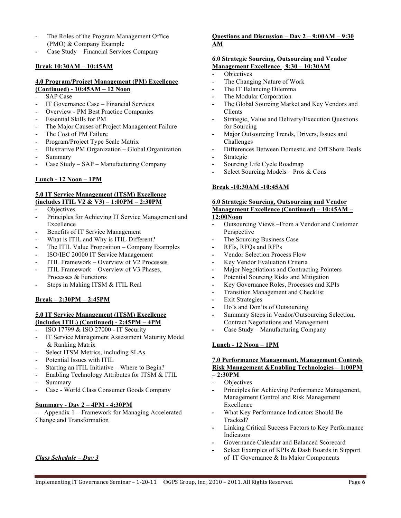- **-** The Roles of the Program Management Office (PMO) & Company Example
- **-** Case Study Financial Services Company

#### **Break 10:30AM – 10:45AM**

#### **4.0 Program/Project Management (PM) Excellence (Continued) - 10:45AM – 12 Noon**

- SAP Case
- IT Governance Case Financial Services
- Overview PM Best Practice Companies
- Essential Skills for PM
- The Major Causes of Project Management Failure
- The Cost of PM Failure
- Program/Project Type Scale Matrix
- Illustrative PM Organization Global Organization
- Summary
- Case Study SAP Manufacturing Company

#### **Lunch - 12 Noon – 1PM**

#### **5.0 IT Service Management (ITSM) Excellence (includes ITIL V2 & V3) – 1:00PM – 2:30PM**

- Objectives
- **-** Principles for Achieving IT Service Management and Excellence
- **-** Benefits of IT Service Management
- **-** What is ITIL and Why is ITIL Different?
- **-** The ITIL Value Proposition Company Examples
- **-** ISO/IEC 20000 IT Service Management
- **-** ITIL Framework Overview of V2 Processes
- **-** ITIL Framework Overview of V3 Phases, Processes & Functions
- **-** Steps in Making ITSM & ITIL Real

#### **Break – 2:30PM – 2:45PM**

#### **5.0 IT Service Management (ITSM) Excellence (includes ITIL) (Continued) - 2:45PM – 4PM**

- ISO 17799 & ISO 27000 IT Security
- IT Service Management Assessment Maturity Model & Ranking Matrix
- Select ITSM Metrics, including SLAs
- Potential Issues with ITIL
- Starting an ITIL Initiative Where to Begin?
- Enabling Technology Attributes for ITSM & ITIL
- Summary
- Case World Class Consumer Goods Company

#### **Summary - Day 2 – 4PM - 4:30PM**

- Appendix 1 – Framework for Managing Accelerated Change and Transformation

#### *Class Schedule – Day 3*

#### **Questions and Discussion – Day 2 – 9:00AM – 9:30 AM**

#### **6.0 Strategic Sourcing, Outsourcing and Vendor Management Excellence** - **9:30 – 10:30AM**

- Objectives
- The Changing Nature of Work
- **-** The IT Balancing Dilemma
- **-** The Modular Corporation
- **-** The Global Sourcing Market and Key Vendors and Clients
- **-** Strategic, Value and Delivery/Execution Questions for Sourcing
- **-** Major Outsourcing Trends, Drivers, Issues and Challenges
- **-** Differences Between Domestic and Off Shore Deals
- **-** Strategic
- **-** Sourcing Life Cycle Roadmap
- **-** Select Sourcing Models Pros & Cons

#### **Break -10:30AM -10:45AM**

#### **6.0 Strategic Sourcing, Outsourcing and Vendor Management Excellence (Continued) – 10:45AM – 12:00Noon**

- **-** Outsourcing Views –From a Vendor and Customer Perspective
- **-** The Sourcing Business Case
- **-** RFIs, RFQs and RFPs
- **-** Vendor Selection Process Flow
- **-** Key Vendor Evaluation Criteria
- **-** Major Negotiations and Contracting Pointers
- **-** Potential Sourcing Risks and Mitigation
- **-** Key Governance Roles, Processes and KPIs
- **-** Transition Management and Checklist
- **-** Exit Strategies
- **-** Do's and Don'ts of Outsourcing
- **-** Summary Steps in Vendor/Outsourcing Selection, Contract Negotiations and Management
- **-** Case Study Manufacturing Company

#### **Lunch - 12 Noon – 1PM**

#### **7.0 Performance Management, Management Controls Risk Management &Enabling Technologies – 1:00PM – 2:30PM**

#### **Objectives**

- **-** Principles for Achieving Performance Management, Management Control and Risk Management Excellence
- **-** What Key Performance Indicators Should Be Tracked?
- **-** Linking Critical Success Factors to Key Performance Indicators
- **-** Governance Calendar and Balanced Scorecard
- **-** Select Examples of KPIs & Dash Boards in Support of IT Governance & Its Major Components